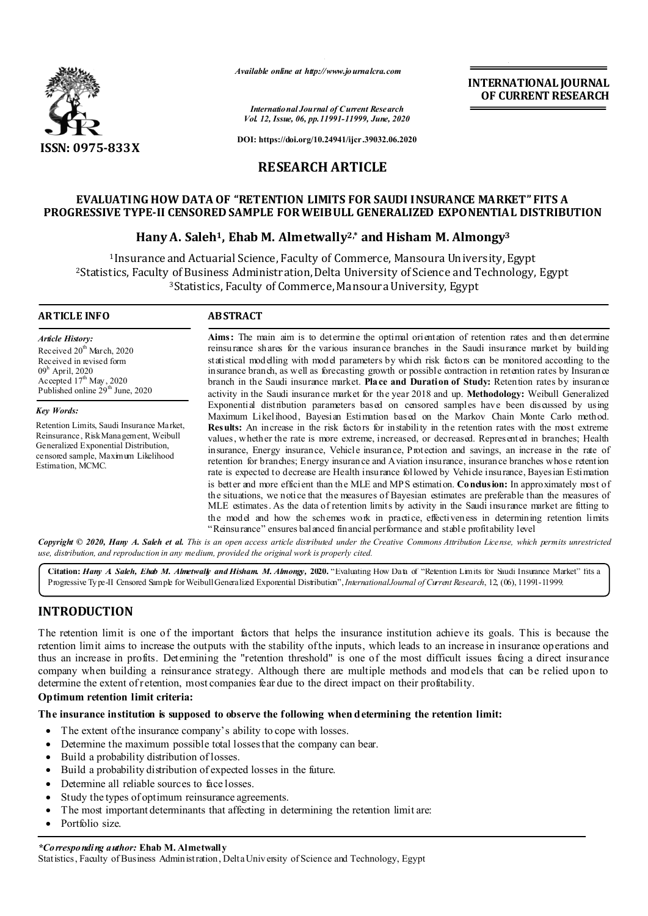

*Available online at http://www.journalcra.com*

*International Journal of Current Research Vol. 12, Issue, 06, pp.11991-11999, June, 2020*

**INTERNATIONAL JOURNAL OF CURRENT RESEARCH**

**DOI: https://doi.org/10.24941/ijcr.39032.06.2020**

# **RESEARCH ARTICLE**

# **EVALUATING HOW DATA OF "RETENTION LIMITS FOR SAUDI INSURANCE MARKET" FITS A PROGRESSIVE TYPE-II CENSORED SAMPLE FOR WEIBULL GENERALIZED EXPONENTIAL DISTRIBUTION**

# **Hany A. Saleh1, Ehab M. Almetwally2,\* and Hisham M. Almongy3**

1Insurance and Actuarial Science, Faculty of Commerce, Mansoura University, Egypt 2Statistics, Faculty of Business Administration, Delta University of Science and Technology, Egypt 3Statistics, Faculty of Commerce, Mansoura University, Egypt

#### **ARTICLE INFO ABSTRACT**

*Article History:* Received 20<sup>th</sup> March, 2020 Received in revised form 09h April, 2020 Accepted  $17<sup>th</sup>$  May, 2020 Published online  $29<sup>th</sup>$  June, 2020

*Key Words:*

Retention Limits, Saudi Insurance Market, Reinsurance, Risk Management, Weibull Generalized Exponential Distribution, censored sample, Maximum Likelihood Estimation, MCMC.

**Aims:** The main aim is to determine the optimal orientation of retention rates and then determine reinsurance shares for the various insurance branches in the Saudi insurance market by building statistical modelling with model parameters by which risk factors can be monitored according to the insurance branch, as well as forecasting growth or possible contraction in retention rates by Insurance branch in the Saudi insurance market. **Place and Duration of Study:** Retention rates by insurance activity in the Saudi insurance market for the year 2018 and up. **Methodology:** Weibull Generalized Exponential distribution parameters based on censored samples have been discussed by using Maximum Likelihood, Bayesian Estimation based on the Markov Chain Monte Carlo method. **Results:** An increase in the risk factors for instability in the retention rates with the most extreme values, whether the rate is more extreme, increased, or decreased. Represented in branches; Health insurance, Energy insurance, Vehicle insurance, Protection and savings, an increase in the rate of retention for branches; Energy insurance and Aviation insurance, insurance branches whose retention rate is expected to decrease are Health insurance followed by Vehicle insurance, Bayesian Estimation is better and more efficient than the MLE and MPS estimation. **Conclusion:** In approximately most of the situations, we notice that the measures of Bayesian estimates are preferable than the measures of MLE estimates. As the data of retention limits by activity in the Saudi insurance market are fitting to the model and how the schemes work in practice, effectiveness in determining retention limits "Reinsurance" ensures balanced financial performance and stable profitability level

Copyright © 2020, Hany A. Saleh et al. This is an open access article distributed under the Creative Commons Attribution License, which permits unrestricted *use, distribution, and reproduction in any medium, provided the original work is properly cited.*

**Citation:** *Hany A. Saleh, Ehab M. Almetwally and Hisham. M. Almongy,* **2020.** "Evaluating How Data of "Retention Limits for Saudi Insurance Market" fits a Progressive Type-II Censored Sample for Weibull Generalized Exponential Distribution",*InternationalJournal of Current Research*, 12, (06), 11991-11999.

# **INTRODUCTION**

The retention limit is one of the important factors that helps the insurance institution achieve its goals. This is because the retention limit aims to increase the outputs with the stability of the inputs, which leads to an increase in insurance operations and thus an increase in profits. Determining the "retention threshold" is one of the most difficult issues facing a direct insurance company when building a reinsurance strategy. Although there are multiple methods and models that can be relied upon to determine the extent of retention, most companies fear due to the direct impact on their profitability.

# **Optimum retention limit criteria:**

## **The insurance institution is supposed to observe the following when determining the retention limit:**

- The extent of the insurance company's ability to cope with losses.
- Determine the maximum possible total losses that the company can bear.
- Build a probability distribution of losses.
- Build a probability distribution of expected losses in the future.
- Determine all reliable sources to face losses.
- Study the types of optimum reinsurance agreements.
- The most important determinants that affecting in determining the retention limit are:
- Portfolio size.

*\*Corresponding author:* **Ehab M. Almetwally**

Statistics, Faculty of Business Administration, Delta University of Science and Technology, Egypt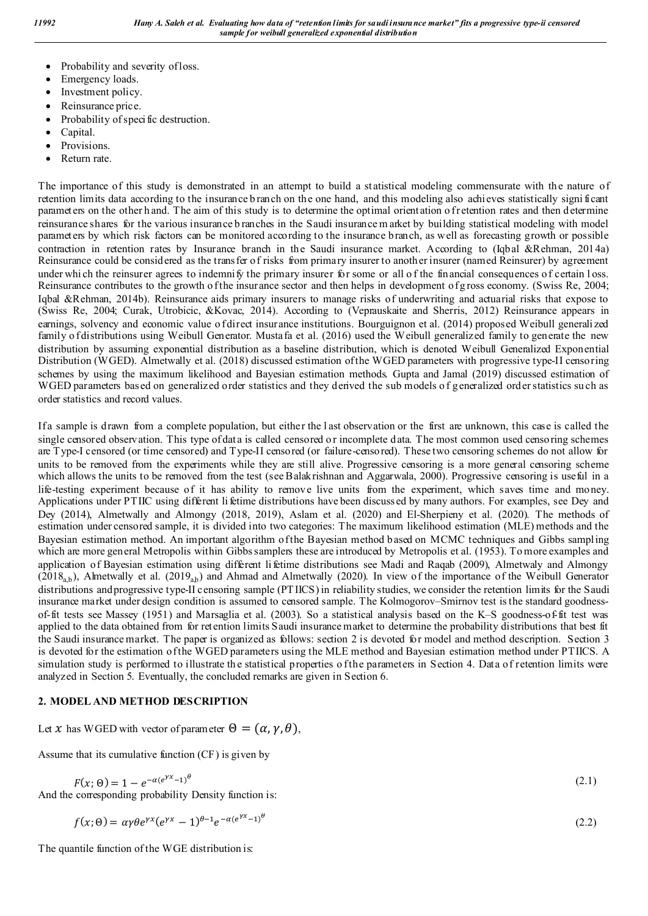- Probability and severity of loss.
- Emergency loads.
- Investment policy.
- Reinsurance price.
- Probability of specific destruction.
- Capital.
- Provisions.
- Return rate.

The importance of this study is demonstrated in an attempt to build a st atistical modeling commensurate with the nature of retention limits data according to the insurance b ranch on the one hand, and this modeling also achieves statistically signi ficant parameters on the other h and. The aim of this study is to determine the optimal orientation of retention rates and then determine reinsurance shares for the various insurance b ranches in the Saudi insurance m arket by building statistical modeling with model parameters by which risk factors can be monitored according to the insurance branch, as well as forecasting growth or possible contraction in retention rates by Insurance branch in the Saudi insurance market. According to (Iqbal &Rehman, 2014a) Reinsurance could be considered as the transfer of risks from primary insurer to anoth er insurer (named Reinsurer) by agreement under whi ch the reinsurer agrees to indemnify the primary insurer for some or all of the financial consequences of certain loss. Reinsurance contributes to the growth of the insurance sector and then helps in development of g ross economy. (Swiss Re, 2004; Iqbal &Rehman, 2014b). Reinsurance aids primary insurers to manage risks of underwriting and actuarial risks that expose to (Swiss Re, 2004; Curak, Utrobicic, &Kovac, 2014). According to (Veprauskaite and Sherris, 2012) Reinsurance appears in earnings, solvency and economic value o f direct insurance institutions. Bourguignon et al. (2014) proposed Weibull generalized family o f distributions using Weibull Generator. Mustafa et al. (2016) used the Weibull generalized family to generate the new distribution by assuming exponential distribution as a baseline distribution, which is denoted Weibull Generalized Exponential Distribution (WGED). Almetwally et al. (2018) discussed estimation of the WGED parameters with progressive type-II censoring schemes by using the maximum likelihood and Bayesian estimation methods. Gupta and Jamal (2019) discussed estimation of WGED parameters based on generalized order statistics and they derived the sub models o f generalized order statistics su ch as order statistics and record values.

If a sample is drawn from a complete population, but either the l ast observation or the first are unknown, this case is called the single censored observation. This type of data is called censored or incomplete data. The most common used censoring schemes are Type-I censored (or time censored) and Type-II censored (or failure-censored). These two censoring schemes do not allow for units to be removed from the experiments while they are still alive. Progressive censoring is a more general censoring scheme which allows the units to be removed from the test (see Balakrishnan and Aggarwala, 2000). Progressive censoring is useful in a life-testing experiment because of it has ability to remove live units from the experiment, which saves time and money. Applications under PTIIC using different li fetime distributions have been discussed by many authors. For examples, see Dey and Dey (2014), Almetwally and Almongy (2018, 2019), Aslam et al. (2020) and El-Sherpieny et al. (2020). The methods of estimation under censored sample, it is divided into two categories: The maximum likelihood estimation (MLE) methods and the Bayesian estimation method. An important algorithm of the Bayesian method b ased on MCMC techniques and Gibbs sampling which are more general Metropolis within Gibbs samplers these are introduced by Metropolis et al. (1953). To more examples and application of Bayesian estimation using different li fetime distributions see Madi and Raqab (2009), Almetwaly and Almongy  $(2018<sub>a,b</sub>)$ , Almetwally et al.  $(2019<sub>a,b</sub>)$  and Ahmad and Almetwally (2020). In view of the importance of the Weibull Generator distributions and progressive type-II censoring sample (PTIICS) in reliability studies, we consider the retention limits for the Saudi insurance market under design condition is assumed to censored sample. The Kolmogorov–Smirnov test is the standard goodnessof-fit tests see Massey (1951) and Marsaglia et al. (2003). So a statistical analysis based on the K–S goodness-of-fit test was applied to the data obtained from for retention limits Saudi insurance market to determine the probability distributions that best fit the Saudi insurance market. The paper is organized as follows: section 2 is devoted for model and method description. Section 3 is devoted for the estimation of the WGED parameters using the MLE method and Bayesian estimation method under PTIICS. A simulation study is performed to illustrate the statistical properties of the parameters in Section 4. Data of retention limits were analyzed in Section 5. Eventually, the concluded remarks are given in Section 6.

# **2. MODEL AND METHOD DESCRIPTION**

Let x has WGED with vector of parameter  $\Theta = (\alpha, \gamma, \theta)$ ,

Assume that its cumulative function (CF) is given by

 $F(x; \theta) = 1 - e^{-\alpha (e^{\gamma x} - 1)^{\theta}}$  (2.1) And the corresponding probability Density function is:

$$
f(x; \theta) = \alpha \gamma \theta e^{\gamma x} (e^{\gamma x} - 1)^{\theta - 1} e^{-\alpha (e^{\gamma x} - 1)^{\theta}}
$$
\n(2.2)

The quantile function of the WGE distribution is: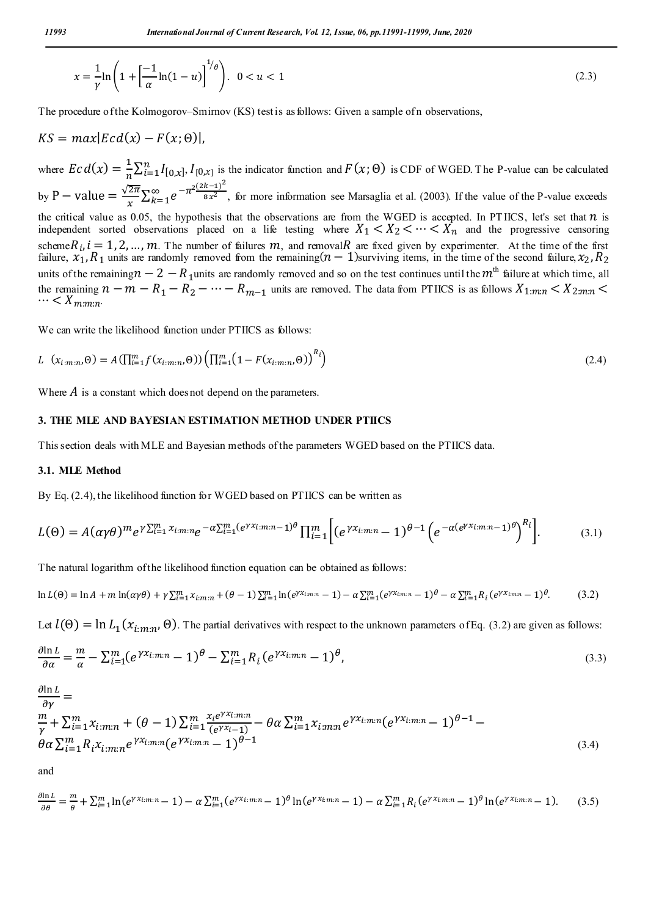$$
x = \frac{1}{\gamma} \ln \left( 1 + \left[ \frac{-1}{\alpha} \ln(1 - u) \right]^{1/\theta} \right). \quad 0 < u < 1 \tag{2.3}
$$

The procedure of the Kolmogorov–Smirnov (KS) test is as follows: Given a sample of n observations,

$$
KS = max|Ec\,(x) - F(x; \Theta)|,
$$

where  $\mathcal{E} c d(x) = \frac{1}{n} \sum_{i=1}^{n} I_{[0,x]}$ ,  $I_{[0,x]}$  is the indicator function and  $F(x; \Theta)$  is CDF of WGED. The P-value can be calculated by P – value  $=$   $\frac{\sqrt{2\pi}}{x} \sum_{k=1}^{\infty} e^{-\pi^2 \frac{(2k-1)^2}{8x^2}}$ , for more information see Marsaglia et al. (2003). If the value of the P-value exceeds the critical value as 0.05, the hypothesis that the observations are from the WGED is accepted. In PTIICS, let's set that  $n$  is independent sorted observations placed on a life testing where  $X_1 < X_2 < \cdots < X_n$  and the progressive censoring scheme $R_i$ ,  $i = 1, 2, ..., m$ . The number of failures m, and removal R are fixed given by experimenter. At the time of the first failure,  $x_1, R_1$  units are randomly removed from the remaining( $n-1$ )surviving items, in the time of the second failure,  $x_2, R_2$ units of the remaining  $n-2-R_1$ units are randomly removed and so on the test continues until the  $m<sup>th</sup>$  failure at which time, all the remaining  $n - m - R_1 - R_2 - \cdots - R_{m-1}$  units are removed. The data from PTIICS is as follows  $X_{1:m:n} < X_{2:m:n} < \cdots < X_{m:m:n}$ .

We can write the likelihood function under PTIICS as follows:

$$
L \left( x_{i:m:n}, \Theta \right) = A \left( \prod_{i=1}^{m} f(x_{i:m:n}, \Theta) \right) \left( \prod_{i=1}^{m} \left( 1 - F(x_{i:m:n}, \Theta) \right)^{R_i} \right) \tag{2.4}
$$

Where  $\vec{A}$  is a constant which does not depend on the parameters.

#### **3. THE MLE AND BAYESIAN ESTIMATION METHOD UNDER PTIICS**

This section deals with MLE and Bayesian methods of the parameters WGED based on the PTIICS data.

#### **3.1. MLE Method**

By Eq. (2.4), the likelihood function for WGED based on PTIICS can be written as

$$
L(\Theta) = A(\alpha \gamma \theta)^m e^{\gamma \sum_{i=1}^m x_{i:m:n}} e^{-\alpha \sum_{i=1}^m (e^{\gamma x_{i:m:n}} - 1)^\theta} \prod_{i=1}^m \left[ (e^{\gamma x_{i:m:n}} - 1)^{\theta - 1} \left( e^{-\alpha (e^{\gamma x_{i:m:n}} - 1)^\theta} \right)^{R_i} \right].
$$
 (3.1)

The natural logarithm of the likelihood function equation can be obtained as follows:

$$
\ln L(\theta) = \ln A + m \ln(\alpha \gamma \theta) + \gamma \sum_{i=1}^{m} x_{i:m:n} + (\theta - 1) \sum_{i=1}^{m} \ln(e^{\gamma x_{i:m:n}} - 1) - \alpha \sum_{i=1}^{m} (e^{\gamma x_{i:m:n}} - 1)^{\theta} - \alpha \sum_{i=1}^{m} R_i (e^{\gamma x_{i:m:n}} - 1)^{\theta}.
$$
 (3.2)

Let  $l(\Theta) = \ln L_1(x_i, m, \Theta)$ . The partial derivatives with respect to the unknown parameters of Eq. (3.2) are given as follows:

$$
\frac{\partial \ln L}{\partial \alpha} = \frac{m}{\alpha} - \sum_{i=1}^{m} (e^{\gamma x_{i:m:n}} - 1)^{\theta} - \sum_{i=1}^{m} R_i (e^{\gamma x_{i:m:n}} - 1)^{\theta},\tag{3.3}
$$

$$
\frac{\partial \ln L}{\partial \gamma} = \frac{m}{\gamma} + \sum_{i=1}^{m} x_{i:m:n} + (\theta - 1) \sum_{i=1}^{m} \frac{x_i e^{\gamma x_{i:m:n}}}{(e^{\gamma x_{i-1}})} - \theta \alpha \sum_{i=1}^{m} x_{i:m:n} e^{\gamma x_{i:m:n}} (e^{\gamma x_{i:m:n}} - 1)^{\theta - 1} - \theta \alpha \sum_{i=1}^{m} R_i x_{i:m:n} e^{\gamma x_{i:m:n}} (e^{\gamma x_{i:m:n}} - 1)^{\theta - 1}
$$
\n(3.4)

and

$$
\frac{\partial \ln L}{\partial \theta} = \frac{m}{\theta} + \sum_{i=1}^{m} \ln(e^{\gamma x_i \cdot m \cdot n} - 1) - \alpha \sum_{i=1}^{m} (e^{\gamma x_i \cdot m \cdot n} - 1)^{\theta} \ln(e^{\gamma x_i \cdot m \cdot n} - 1) - \alpha \sum_{i=1}^{m} R_i (e^{\gamma x_i \cdot m \cdot n} - 1)^{\theta} \ln(e^{\gamma x_i \cdot m \cdot n} - 1).
$$
(3.5)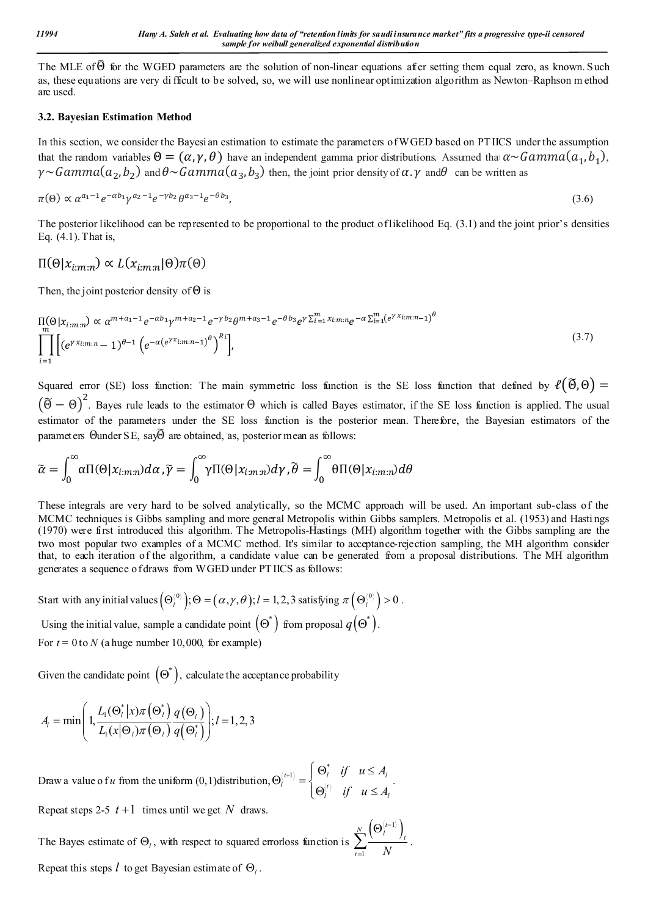The MLE of  $\widehat{\Theta}$  for the WGED parameters are the solution of non-linear equations after setting them equal zero, as known. Such as, these equations are very di fficult to be solved, so, we will use nonlinear optimization algorithm as Newton–Raphson m ethod are used.

# **3.2. Bayesian Estimation Method**

In this section, we consider the Bayesi an estimation to estimate the parameters of WGED based on PT IICS under the assumption that the random variables  $\Theta = (\alpha, \gamma, \theta)$  have an independent gamma prior distributions. Assumed that  $\alpha \sim \text{Gamma}(a_1, b_1)$ ,  $\gamma \sim \text{Gamma}(a_2, b_2)$  and  $\theta \sim \text{Gamma}(a_3, b_3)$  then, the joint prior density of  $\alpha$ .  $\gamma$  and  $\theta$  can be written as

$$
\pi(\Theta) \propto \alpha^{a_1 - 1} e^{-\alpha b_1} \gamma^{a_2 - 1} e^{-\gamma b_2} \theta^{a_3 - 1} e^{-\theta b_3},\tag{3.6}
$$

The posterior likelihood can be represented to be proportional to the product of likelihood Eq. (3.1) and the joint prior's densities Eq. (4.1). That is,

$$
\Pi(\Theta | x_{i:m:n}) \propto L(x_{i:m:n} | \Theta) \pi(\Theta)
$$

Then, the joint posterior density of  $\Theta$  is

$$
\prod_{m}(\Theta|x_{i:m:n}) \propto \alpha^{m+a_1-1}e^{-\alpha b_1} \gamma^{m+a_2-1}e^{-\gamma b_2} \theta^{m+a_3-1}e^{-\theta b_3} e^{\gamma \sum_{i=1}^{m} x_{i:m:n}} e^{-\alpha \sum_{i=1}^{m} (e^{\gamma x_{i:m:n}}-1)^{\theta}} \\
\prod_{i=1}^{m} \left[ (e^{\gamma x_{i:m:n}}-1)^{\theta-1} \left( e^{-\alpha (e^{\gamma x_{i:m:n}}-1)} \right)^{\theta} \right],
$$
\n(3.7)

Squared error (SE) loss function: The main symmetric loss function is the SE loss function that defined by  $\ell(\tilde{\Theta},\Theta)$  =  $(\widetilde{\Theta} - \Theta)^2$ . Bayes rule leads to the estimator  $\Theta$  which is called Bayes estimator, if the SE loss function is applied. The usual estimator of the parameters under the SE loss function is the posterior mean. Therefore, the Bayesian estimators of the parameters Θunder SE, sayΘ are obtained, as, posterior mean as follows:

$$
\widetilde{\alpha} = \int_0^{\infty} \alpha \Pi(\Theta | x_{i:m:n}) d\alpha, \widetilde{\gamma} = \int_0^{\infty} \gamma \Pi(\Theta | x_{i:m:n}) d\gamma, \widetilde{\theta} = \int_0^{\infty} \theta \Pi(\Theta | x_{i:m:n}) d\theta
$$

These integrals are very hard to be solved analytically, so the MCMC approach will be used. An important sub-class of the MCMC techniques is Gibbs sampling and more general Metropolis within Gibbs samplers. Metropolis et al. (1953) and Hasti ngs (1970) were first introduced this algorithm. The Metropolis-Hastings (MH) algorithm together with the Gibbs sampling are the two most popular two examples of a MCMC method. It's similar to acceptance-rejection sampling, the MH algorithm consider that, to each iteration of the algorithm, a candidate value can be generated from a proposal distributions. The MH algorithm generates a sequence of draws from WGED under PT IICS as follows:

Start with any initial values 
$$
(\Theta_l^{(0)})
$$
;  $\Theta = (\alpha, \gamma, \theta)$ ;  $l = 1, 2, 3$  satisfying  $\pi(\Theta_l^{(0)}) > 0$ .

Using the initial value, sample a candidate point  $(\Theta^*)$  from proposal  $q(\Theta^*)$ . For  $t = 0$  to  $N$  (a huge number 10,000, for example)

Given the candidate point  $(\Theta^*)$ , calculate the acceptance probability

$$
A_{l} = \min\left(1, \frac{L_{1}(\Theta_{l}^{*} | x) \pi(\Theta_{l}^{*})}{L_{1}(x | \Theta_{l}) \pi(\Theta_{l})} \frac{q(\Theta_{l})}{q(\Theta_{l}^{*})}\right); l = 1, 2, 3
$$

Draw a value o f *u* from the uniform (0,1)distribution, \*  $\langle t+1 \rangle$  |  $\cup_l$  |  $\langle t \rangle$  |  $\langle u \rangle$  |  $\langle u \rangle$  $l = \log t$  $\iota$  *l*  $\iota$  *l*  $\iota$  *l*  $\iota$ *if*  $u \leq A$ *if*  $u \leq A$  $\left\{ \begin{array}{c} |c_{n+1}\rangle \end{array} \right. \quad \left\{ \begin{array}{c} \Theta^*_l \quad \text{if} \quad u \leq \end{array} \right.$  $\Theta_l^{(l+1)} = \begin{cases} -l & \text{if } l \\ \Theta_l^{(l)} & \text{if } u \leq A_l \end{cases}.$ 

Repeat steps 2-5  $t+1$  times until we get N draws.

The Bayes estimate of  $\Theta$ <sub>l</sub>, with respect to squared errorloss function is  $\left(\Theta_{l}^{\left\langle t-1\right\rangle }\right)$ 1  $\sum_{l}^{N}\left(\Theta_{l}^{\left\langle t-1\right\rangle }\right)_{l}$  $\sum_{t=1}$  *N* H  $\equiv$  $\Theta$  $\sum \frac{\left(\begin{array}{cc} l & l \end{array}\right)_{t}}{N}$ . Repeat this steps  $l$  to get Bayesian estimate of  $\Theta_l$ .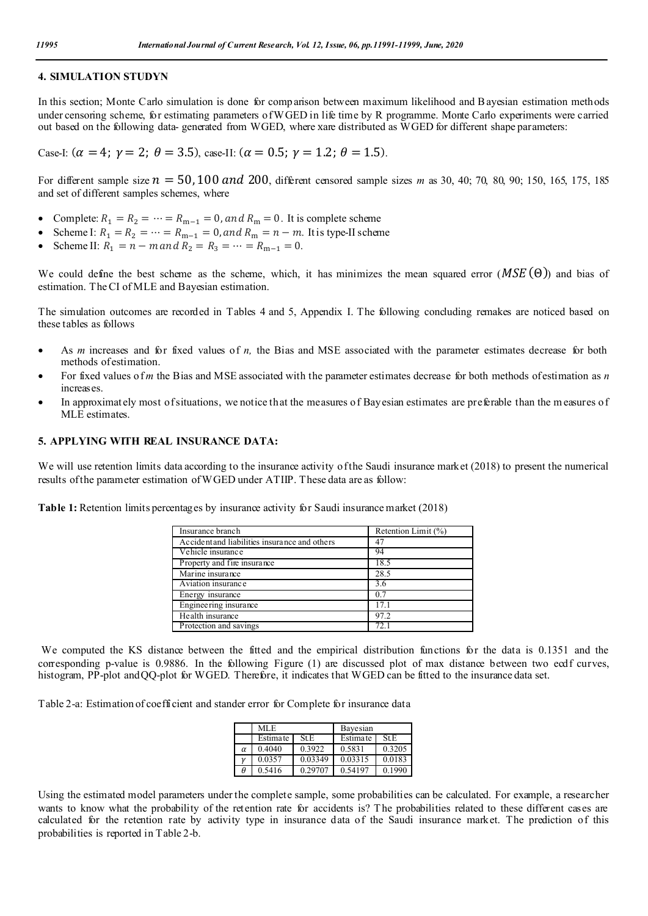#### **4. SIMULATION STUDYN**

In this section; Monte Carlo simulation is done for comp arison between maximum likelihood and B ayesian estimation methods under censoring scheme, for estimating parameters of WGED in life time by R programme. Monte Carlo experiments were carried out based on the following data- generated from WGED, where xare distributed as WGED for different shape parameters:

Case-I:  $(\alpha = 4; \gamma = 2; \theta = 3.5)$ , case-II:  $(\alpha = 0.5; \gamma = 1.2; \theta = 1.5)$ .

For different sample size  $n = 50,100$  and 200, different censored sample sizes *m* as 30, 40; 70, 80, 90; 150, 165, 175, 185 and set of different samples schemes, where

- Complete:  $R_1 = R_2 = \dots = R_{m-1} = 0$ , and  $R_m = 0$ . It is complete scheme
- Scheme I:  $R_1 = R_2 = \cdots = R_{m-1} = 0$ , and  $R_m = n m$ . It is type-II scheme
- Scheme II:  $R_1 = n m$  and  $R_2 = R_3 = \cdots = R_{m-1} = 0$ .

We could define the best scheme as the scheme, which, it has minimizes the mean squared error ( $MSE(\Theta)$ ) and bias of estimation. The CI of MLE and Bayesian estimation.

The simulation outcomes are recorded in Tables 4 and 5, Appendix I. The following concluding remakes are noticed based on these tables as follows

- As *m* increases and for fixed values of *n*, the Bias and MSE associated with the parameter estimates decrease for both methods of estimation.
- For fixed values of *m* the Bias and MSE associated with the parameter estimates decrease for both methods of estimation as *n* increases.
- In approximately most of situations, we notice that the measures of Bayesian estimates are preferable than the m easures of MLE estimates.

#### **5. APPLYING WITH REAL INSURANCE DATA:**

We will use retention limits data according to the insurance activity of the Saudi insurance market (2018) to present the numerical results of the parameter estimation of WGED under ATIIP. These data are as follow:

**Table 1:** Retention limits percentages by insurance activity for Saudi insurance market (2018)

| Insurance branch                              | Retention Limit (%) |
|-----------------------------------------------|---------------------|
| Accident and liabilities insurance and others | 47                  |
| Vehicle insurance                             | 94                  |
| Property and fire insurance                   | 18.5                |
| Marine insurance                              | 28.5                |
| Aviation insurance                            | 3.6                 |
| Energy insurance                              | 0.7                 |
| Engineering insurance                         | 17.1                |
| Health insurance                              | 97.2                |
| Protection and savings                        |                     |

We computed the KS distance between the fitted and the empirical distribution functions for the data is 0.1351 and the corresponding p-value is 0.9886. In the following Figure (1) are discussed plot of max distance between two ecdf curves, histogram, PP-plot and QQ-plot for WGED. Therefore, it indicates that WGED can be fitted to the insurance data set.

Table 2-a: Estimation of coefficient and stander error for Complete for insurance data

|          | MLE.     |             | Bayesian |        |  |  |
|----------|----------|-------------|----------|--------|--|--|
|          | Estimate | <b>St.E</b> | Estimate | St.E   |  |  |
| $\alpha$ | 0.4040   | 0.3922      | 0.5831   | 0.3205 |  |  |
|          | 0.0357   | 0.03349     | 0.03315  | 0.0183 |  |  |
| Ĥ        | 0.5416   | 0.29707     | 0.54197  | 0.1990 |  |  |

Using the estimated model parameters under the complete sample, some probabilities can be calculated. For example, a researcher wants to know what the probability of the retention rate for accidents is? The probabilities related to these different cases are calculated for the retention rate by activity type in insurance data of the Saudi insurance market. The prediction of this probabilities is reported in Table 2-b.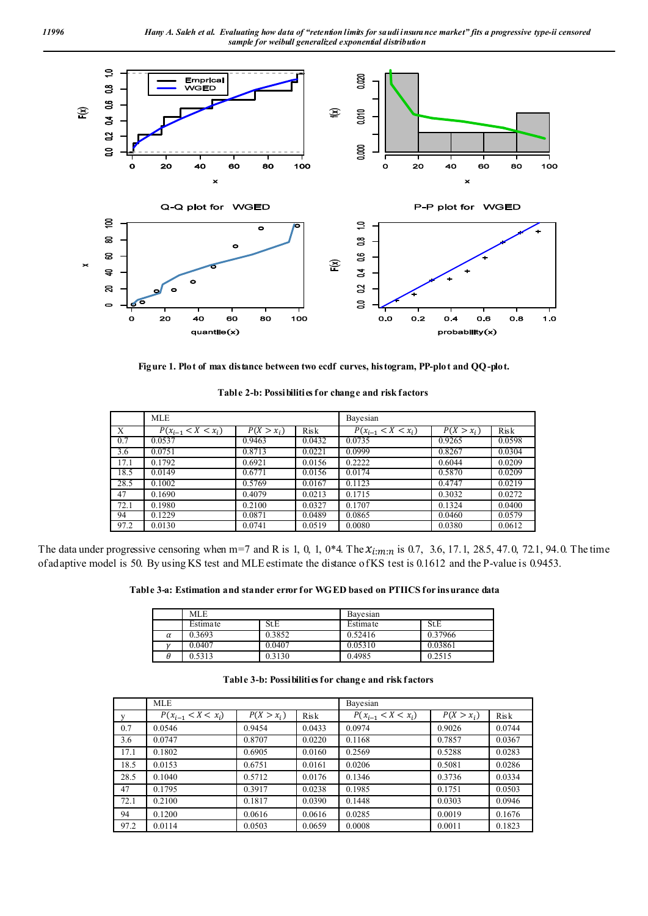

**Figure 1. Plot of max distance between two ecdf curves, histogram, PP-plot and QQ-plot.**

|      | <b>MLE</b>             |                         |        | Bayesian               |                         |             |  |  |
|------|------------------------|-------------------------|--------|------------------------|-------------------------|-------------|--|--|
| X    | $P(x_{i-1} < X < x_i)$ | $\overline{P(X > x_i)}$ | Risk   | $P(x_{i-1} < X < x_i)$ | $\overline{P(X > x_i)}$ | <b>Risk</b> |  |  |
| 0.7  | 0.0537                 | 0.9463                  | 0.0432 | 0.0735                 | 0.9265                  | 0.0598      |  |  |
| 3.6  | 0.0751                 | 0.8713                  | 0.0221 | 0.0999                 | 0.8267                  | 0.0304      |  |  |
| 17.1 | 0.1792                 | 0.6921                  | 0.0156 | 0.2222                 | 0.6044                  | 0.0209      |  |  |
| 18.5 | 0.0149                 | 0.6771                  | 0.0156 | 0.0174                 | 0.5870                  | 0.0209      |  |  |
| 28.5 | 0.1002                 | 0.5769                  | 0.0167 | 0.1123                 | 0.4747                  | 0.0219      |  |  |
| 47   | 0.1690                 | 0.4079                  | 0.0213 | 0.1715                 | 0.3032                  | 0.0272      |  |  |
| 72.1 | 0.1980                 | 0.2100                  | 0.0327 | 0.1707                 | 0.1324                  | 0.0400      |  |  |
| 94   | 0.1229                 | 0.0871                  | 0.0489 | 0.0865                 | 0.0460                  | 0.0579      |  |  |
| 97.2 | 0.0130                 | 0.0741                  | 0.0519 | 0.0080                 | 0.0380                  | 0.0612      |  |  |

The data under progressive censoring when m=7 and R is 1, 0, 1, 0\*4. The  $x_{i:m:n}$  is 0.7, 3.6, 17.1, 28.5, 47.0, 72.1, 94.0. The time of adaptive model is 50. By using KS test and MLE estimate the distance of KS test is 0.1612 and the P-value is 0.9453.

**Table 3-a: Estimation and stander error for WGED based on PTIICS for insurance data**

|          | <b>MLE</b> |             | Bavesian                |         |  |  |
|----------|------------|-------------|-------------------------|---------|--|--|
|          | Estimate   | <b>St.E</b> | <b>St.E</b><br>Estimate |         |  |  |
| $\alpha$ | 0.3693     | 0.3852      | 0.52416                 | 0.37966 |  |  |
|          | 0.0407     | 0.0407      | 0.05310                 | 0.03861 |  |  |
|          | 0.5313     | 0.3130      | 0.4985                  | 0.2515  |  |  |

#### **Table 3-b: Possibilities for change and risk factors**

|      | <b>MLE</b>             |              |        | Bayesian               |              |        |  |  |
|------|------------------------|--------------|--------|------------------------|--------------|--------|--|--|
| V    | $P(x_{i-1} < X < x_i)$ | $P(X > x_i)$ | Risk   | $P(x_{i-1} < X < x_i)$ | $P(X > x_i)$ | Risk   |  |  |
| 0.7  | 0.0546                 | 0.9454       | 0.0433 | 0.0974                 | 0.9026       | 0.0744 |  |  |
| 3.6  | 0.0747                 | 0.8707       | 0.0220 | 0.1168                 | 0.7857       | 0.0367 |  |  |
| 17.1 | 0.1802                 | 0.6905       | 0.0160 | 0.2569                 | 0.5288       | 0.0283 |  |  |
| 18.5 | 0.0153                 | 0.6751       | 0.0161 | 0.0206                 | 0.5081       | 0.0286 |  |  |
| 28.5 | 0.1040                 | 0.5712       | 0.0176 | 0.1346                 | 0.3736       | 0.0334 |  |  |
| 47   | 0.1795                 | 0.3917       | 0.0238 | 0.1985                 | 0.1751       | 0.0503 |  |  |
| 72.1 | 0.2100                 | 0.1817       | 0.0390 | 0.1448                 | 0.0303       | 0.0946 |  |  |
| 94   | 0.1200                 | 0.0616       | 0.0616 | 0.0285                 | 0.0019       | 0.1676 |  |  |
| 97.2 | 0.0114                 | 0.0503       | 0.0659 | 0.0008                 | 0.0011       | 0.1823 |  |  |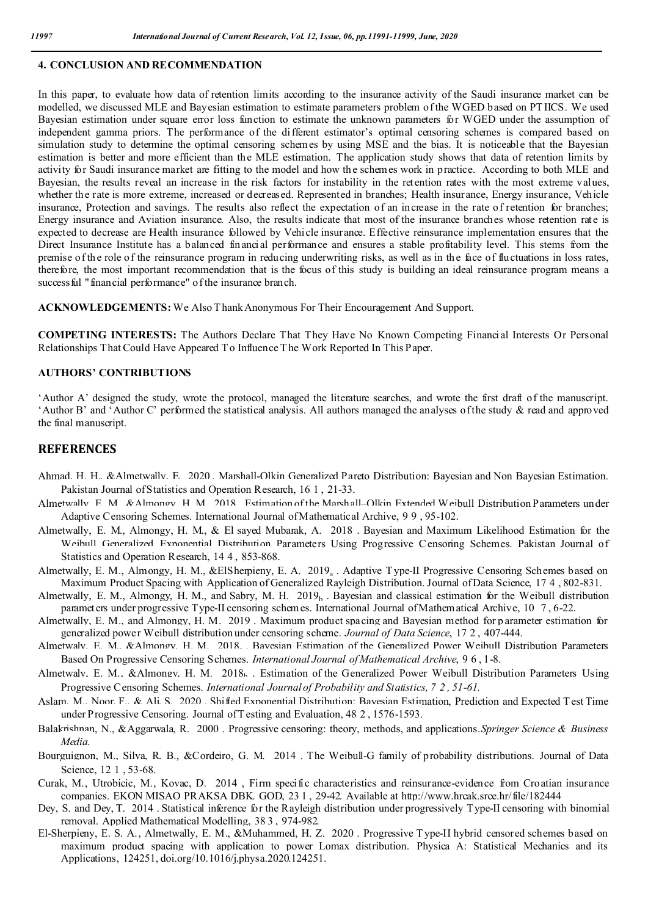### **4. CONCLUSION AND RECOMMENDATION**

In this paper, to evaluate how data of retention limits according to the insurance activity of the Saudi insurance market can be modelled, we discussed MLE and Bayesian estimation to estimate parameters problem ofthe WGED based on PT IICS. We used Bayesian estimation under square error loss function to estimate the unknown parameters for WGED under the assumption of independent gamma priors. The performance of the different estimator's optimal censoring schemes is compared based on simulation study to determine the optimal censoring schemes by using MSE and the bias. It is noticeable that the Bayesian estimation is better and more efficient than the MLE estimation. The application study shows that data of retention limits by activity for Saudi insurance market are fitting to the model and how the schemes work in practice. According to both MLE and Bayesian, the results reveal an increase in the risk factors for instability in the retention rates with the most extreme values, whether the rate is more extreme, increased or decreased. Represented in branches; Health insurance, Energy insurance, Vehicle insurance, Protection and savings. The results also reflect the expectation of an increase in the rate of retention for branches; Energy insurance and Aviation insurance. Also, the results indicate that most of the insurance branches whose retention rate is expected to decrease are Health insurance followed by Vehicle insurance. Effective reinsurance implementation ensures that the Direct Insurance Institute has a balanced financial performance and ensures a stable profitability level. This stems from the premise ofthe role of the reinsurance program in reducing underwriting risks, as well as in the face of fluctuations in loss rates, therefore, the most important recommendation that is the focus of this study is building an ideal reinsurance program means a success ful "financial performance" of the insurance branch.

**ACKNOWLEDGEMENTS:** We Also T hank Anonymous For Their Encouragement And Support.

**COMPETING INTERESTS:** The Authors Declare That They Have No Known Competing Financial Interests Or Personal Relationships That Could Have Appeared T o Influence T he Work Reported In This Paper.

## **AUTHORS' CONTRIBUTIONS**

'Author A' designed the study, wrote the protocol, managed the literature searches, and wrote the first draft of the manuscript. 'Author B' and 'Author C' performed the statistical analysis. All authors managed the analyses of the study & read and approved the final manuscript.

# **REFERENCES**

- Ahmad, H. H. & Almetwally, E. 2020. Marshall-Olkin Generalized Pareto Distribution: Bayesian and Non Bayesian Estimation. Pakistan Journal of Statistics and Operation Research, 16 1, 21-33.
- Almetwally, E. M., &Almongy, H. M., 2018. Estimation of the Marshall–Olkin Extended Weibull Distribution Parameters under Adaptive Censoring Schemes. International Journal of Mathematical Archive, 9 9 , 95-102.
- Almetwally, E. M., Almongy, H. M., & El sayed Mubarak, A. 2018 . Bayesian and Maximum Likelihood Estimation for the Weibull Generalized Exponential Distribution Parameters Using Progressive C ensoring Schemes. Pakistan Journal of Statistics and Operation Research, 14 4 , 853-868.
- Almetwally, E. M., Almongy, H. M., &ElSherpieny, E. A. 2019<sub>a</sub>. Adaptive Type-II Progressive Censoring Schemes based on Maximum Product Spacing with Application of Generalized Rayleigh Distribution. Journal of Data Science, 17 4 , 802-831.
- Almetwally, E. M., Almongy, H. M., and Sabry, M. H. 2019 $<sub>h</sub>$ . Bayesian and classical estimation for the Weibull distribution</sub> parameters under progressive Type-II censoring schemes. International Journal of Mathematical Archive, 10 7 , 6-22.
- Almetwally, E. M., and Almongy, H. M. 2019 . Maximum product spacing and Bayesian method for p arameter estimation for generalized power Weibull distribution under censoring scheme. *Journal of Data Science*, 17 2 , 407-444.
- Almetwaly, E. M., &Almonov, H. M., 2018. Bayesian Estimation of the Generalized Power Weibull Distribution Parameters Based On Progressive Censoring Schemes. *International Journal of Mathematical Archive*, 9 6 , 1-8.
- Almetwaly, E. M., &Almongy, H. M. 2018k . Estimation of the Generalized Power Weibull Distribution Parameters Using Progressive Censoring Schemes. *International Journal of Probability and Statistics, 7 2 , 51-61.*
- Aslam, M., Noor, F., & Ali, S. 2020. Shifted Exponential Distribution: Bayesian Estimation, Prediction and Expected T est Time under Progressive Censoring. Journal of T esting and Evaluation, 48 2 , 1576-1593.
- Balakrishnan, N., &Aggarwala, R. 2000 . Progressive censoring: theory, methods, and applications.*Springer Science & Business Media.*
- Bourguignon, M., Silva, R. B., &Cordeiro, G. M. 2014 . The Weibull-G family of probability distributions. Journal of Data Science, 12 1 , 53-68.
- Curak, M., Utrobicic, M., Kovac, D. 2014 , Firm specific characteristics and reinsurance-evidence from Croatian insurance companies. EKON MISAO PRAKSA DBK. GOD, 23 1 , 29-42. Available at http://www.hrcak.srce.hr/file/182444
- Dey, S. and Dey, T. 2014 . Statistical inference for the Rayleigh distribution under progressively Type-II censoring with binomial removal. Applied Mathematical Modelling, 38 3 , 974-982.
- El-Sherpieny, E. S. A., Almetwally, E. M., &Muhammed, H. Z. 2020 . Progressive T ype-II hybrid censored schemes based on maximum product spacing with application to power Lomax distribution. Physica A: Statistical Mechanics and its Applications, 124251, doi.org/10.1016/j.physa.2020.124251.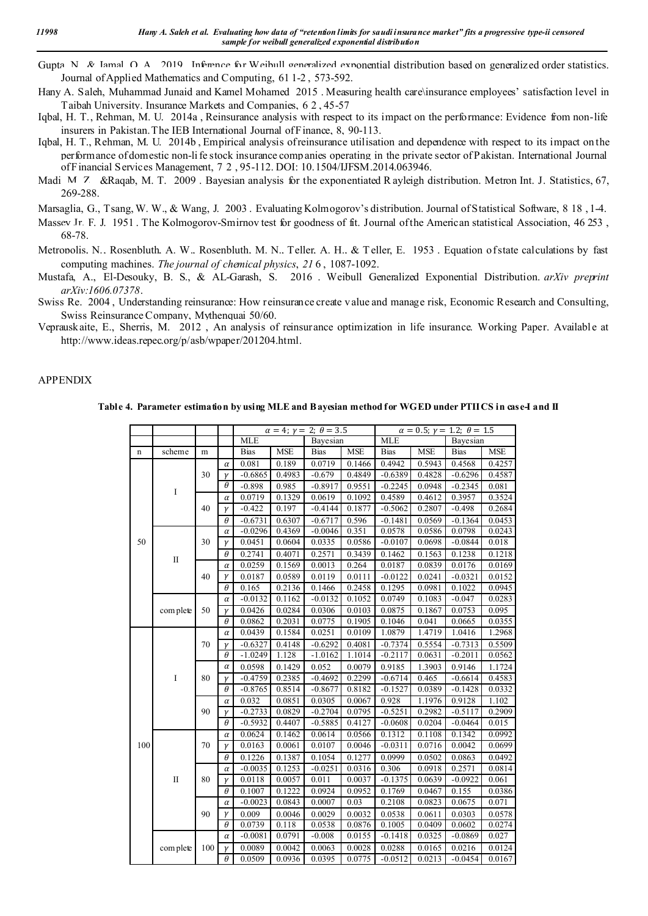- Gupta, N., & Jamal, O. A. 2019. Inference for Weibull generalized exponential distribution based on generalized order statistics. Journal of Applied Mathematics and Computing, 61 1-2 , 573-592.
- Hany A. Saleh, Muhammad Junaid and Kamel Mohamed 2015 . Measuring health care\insurance employees' satisfaction level in Taibah University. Insurance Markets and Companies, 6 2 , 45-57
- Iqbal, H. T., Rehman, M. U. 2014a , Reinsurance analysis with respect to its impact on the performance: Evidence from non-life insurers in Pakistan. The IEB International Journal of Finance, 8, 90-113.
- Iqbal, H. T., Rehman, M. U. 2014b , Empirical analysis of reinsurance utilisation and dependence with respect to its impact on the performance of domestic non-li fe stock insurance comp anies operating in the private sector of Pakistan. International Journal of Financial Services Management, 7 2 , 95-112. DOI: 10.1504/IJFSM.2014.063946.
- Madi, M. Z., &Raqab, M. T., 2009. Bayesian analysis for the exponentiated R ayleigh distribution. Metron Int. J. Statistics, 67, 269-288.
- Marsaglia, G., Tsang, W. W., & Wang, J. 2003 . Evaluating Kolmogorov's distribution. Journal of Statistical Software, 8 18 , 1-4.
- Massey Jr, F. J. 1951. The Kolmogorov-Smirnov test for goodness of fit. Journal of the American statistical Association, 46 253. 68-78.
- Metropolis, N., Rosenbluth, A. W., Rosenbluth, M. N., Teller, A. H., & Teller, E. 1953. Equation of state calculations by fast computing machines. *The journal of chemical physics*, *21* 6 , 1087-1092.
- Mustafa, A., El-Desouky, B. S., & AL-Garash, S. 2016 . Weibull Generalized Exponential Distribution. *arXiv preprint arXiv:1606.07378*.
- Swiss Re. 2004 , Understanding reinsurance: How reinsurance create v alue and manage risk, Economic Research and Consulting, Swiss Reinsurance Company, Mythenquai 50/60.
- Veprauskaite, E., Sherris, M. 2012 , An analysis of reinsurance optimization in life insurance. Working Paper. Available at http://www.ideas.repec.org/p/asb/wpaper/201204.html.

#### APPENDIX

#### **Table 4. Parameter estimation by using MLE and B ayesian method for WGED under PTIICS in case-I and II**

|             |              |     |          | $\alpha = 4; \gamma = 2; \theta = 3.5$ |            |             |            | $\alpha = 0.5; \gamma = 1.2; \theta = 1.5$ |            |             |            |
|-------------|--------------|-----|----------|----------------------------------------|------------|-------------|------------|--------------------------------------------|------------|-------------|------------|
|             |              |     |          | <b>MLE</b>                             |            | Bayesian    |            | <b>MLE</b>                                 |            | Bayesian    |            |
| $\mathbf n$ | scheme       | m   |          | Bias                                   | <b>MSE</b> | <b>Bias</b> | <b>MSE</b> | <b>Bias</b>                                | <b>MSE</b> | <b>Bias</b> | <b>MSE</b> |
|             |              |     | $\alpha$ | 0.081                                  | 0.189      | 0.0719      | 0.1466     | 0.4942                                     | 0.5943     | 0.4568      | 0.4257     |
|             |              | 30  | $\gamma$ | $-0.6865$                              | 0.4983     | $-0.679$    | 0.4849     | $-0.6389$                                  | 0.4828     | $-0.6296$   | 0.4587     |
|             | $\bf I$      |     | θ        | $-0.898$                               | 0.985      | $-0.8917$   | 0.9551     | $-0.2245$                                  | 0.0948     | $-0.2345$   | 0.081      |
|             |              |     | $\alpha$ | 0.0719                                 | 0.1329     | 0.0619      | 0.1092     | 0.4589                                     | 0.4612     | 0.3957      | 0.3524     |
|             |              | 40  | $\gamma$ | $-0.422$                               | 0.197      | $-0.4144$   | 0.1877     | $-0.5062$                                  | 0.2807     | $-0.498$    | 0.2684     |
|             |              |     | $\theta$ | $-0.6731$                              | 0.6307     | $-0.6717$   | 0.596      | $-0.1481$                                  | 0.0569     | $-0.1364$   | 0.0453     |
|             |              |     | $\alpha$ | $-0.0296$                              | 0.4369     | $-0.0046$   | 0.351      | 0.0578                                     | 0.0586     | 0.0798      | 0.0243     |
| 50          |              | 30  | γ        | 0.0451                                 | 0.0604     | 0.0335      | 0.0586     | $-0.0107$                                  | 0.0698     | $-0.0844$   | 0.018      |
|             |              |     | θ        | 0.2741                                 | 0.4071     | 0.2571      | 0.3439     | 0.1462                                     | 0.1563     | 0.1238      | 0.1218     |
|             | $\mathbf{I}$ |     | $\alpha$ | 0.0259                                 | 0.1569     | 0.0013      | 0.264      | 0.0187                                     | 0.0839     | 0.0176      | 0.0169     |
|             |              | 40  | γ        | 0.0187                                 | 0.0589     | 0.0119      | 0.0111     | $-0.0122$                                  | 0.0241     | $-0.0321$   | 0.0152     |
|             |              |     | θ        | 0.165                                  | 0.2136     | 0.1466      | 0.2458     | 0.1295                                     | 0.0981     | 0.1022      | 0.0945     |
|             |              |     | $\alpha$ | $-0.0132$                              | 0.1162     | $-0.0132$   | 0.1052     | 0.0749                                     | 0.1083     | $-0.047$    | 0.0283     |
|             | com plete    | 50  | γ        | 0.0426                                 | 0.0284     | 0.0306      | 0.0103     | 0.0875                                     | 0.1867     | 0.0753      | 0.095      |
|             |              |     | $\theta$ | 0.0862                                 | 0.2031     | 0.0775      | 0.1905     | 0.1046                                     | 0.041      | 0.0665      | 0.0355     |
|             |              | 70  | $\alpha$ | 0.0439                                 | 0.1584     | 0.0251      | 0.0109     | 1.0879                                     | 1.4719     | 1.0416      | 1.2968     |
|             |              |     | $\gamma$ | $-0.6327$                              | 0.4148     | $-0.6292$   | 0.4081     | $-0.7374$                                  | 0.5554     | $-0.7313$   | 0.5509     |
|             |              |     | θ        | $-1.0249$                              | 1.128      | $-1.0162$   | 1.1014     | $-0.2117$                                  | 0.0631     | $-0.2011$   | 0.0562     |
|             |              | 80  | $\alpha$ | 0.0598                                 | 0.1429     | 0.052       | 0.0079     | 0.9185                                     | 1.3903     | 0.9146      | 1.1724     |
|             | I            |     | γ        | $-0.4759$                              | 0.2385     | $-0.4692$   | 0.2299     | $-0.6714$                                  | 0.465      | $-0.6614$   | 0.4583     |
|             |              |     | θ        | $-0.8765$                              | 0.8514     | $-0.8677$   | 0.8182     | $-0.1527$                                  | 0.0389     | $-0.1428$   | 0.0332     |
|             |              |     | $\alpha$ | 0.032                                  | 0.0851     | 0.0305      | 0.0067     | 0.928                                      | 1.1976     | 0.9128      | 1.102      |
|             |              | 90  | γ        | $-0.2733$                              | 0.0829     | $-0.2704$   | 0.0795     | $-0.5251$                                  | 0.2982     | $-0.5117$   | 0.2909     |
|             |              |     | θ        | $-0.5932$                              | 0.4407     | $-0.5885$   | 0.4127     | $-0.0608$                                  | 0.0204     | $-0.0464$   | 0.015      |
|             |              |     | $\alpha$ | 0.0624                                 | 0.1462     | 0.0614      | 0.0566     | 0.1312                                     | 0.1108     | 0.1342      | 0.0992     |
| 100         |              | 70  | $\gamma$ | 0.0163                                 | 0.0061     | 0.0107      | 0.0046     | $-0.0311$                                  | 0.0716     | 0.0042      | 0.0699     |
|             |              |     | $\theta$ | 0.1226                                 | 0.1387     | 0.1054      | 0.1277     | 0.0999                                     | 0.0502     | 0.0863      | 0.0492     |
|             |              |     | $\alpha$ | $-0.0035$                              | 0.1253     | $-0.0251$   | 0.0316     | 0.306                                      | 0.0918     | 0.2571      | 0.0814     |
|             | $\mathbf{I}$ | 80  | $\gamma$ | 0.0118                                 | 0.0057     | 0.011       | 0.0037     | $-0.1375$                                  | 0.0639     | $-0.0922$   | 0.061      |
|             |              |     | θ        | 0.1007                                 | 0.1222     | 0.0924      | 0.0952     | 0.1769                                     | 0.0467     | 0.155       | 0.0386     |
|             |              |     | $\alpha$ | $-0.0023$                              | 0.0843     | 0.0007      | 0.03       | 0.2108                                     | 0.0823     | 0.0675      | 0.071      |
|             |              | 90  | γ        | 0.009                                  | 0.0046     | 0.0029      | 0.0032     | 0.0538                                     | 0.0611     | 0.0303      | 0.0578     |
|             |              |     | $\theta$ | 0.0739                                 | 0.118      | 0.0538      | 0.0876     | 0.1005                                     | 0.0409     | 0.0602      | 0.0274     |
|             |              |     | $\alpha$ | $-0.0081$                              | 0.0791     | $-0.008$    | 0.0155     | $-0.1418$                                  | 0.0325     | $-0.0869$   | 0.027      |
|             | com plete    | 100 | γ        | 0.0089                                 | 0.0042     | 0.0063      | 0.0028     | 0.0288                                     | 0.0165     | 0.0216      | 0.0124     |
|             |              |     | $\theta$ | 0.0509                                 | 0.0936     | 0.0395      | 0.0775     | $-0.0512$                                  | 0.0213     | $-0.0454$   | 0.0167     |